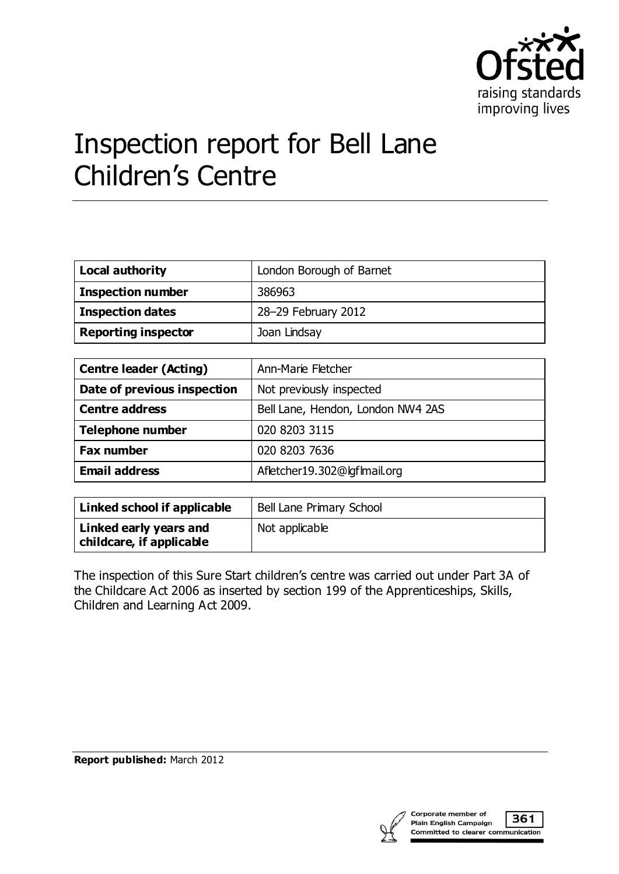

# Inspection report for Bell Lane Children's Centre

| <b>Local authority</b>     | London Borough of Barnet |
|----------------------------|--------------------------|
| <b>Inspection number</b>   | 386963                   |
| <b>Inspection dates</b>    | 28-29 February 2012      |
| <b>Reporting inspector</b> | Joan Lindsay             |

| <b>Centre leader (Acting)</b> | Ann-Marie Fletcher                |
|-------------------------------|-----------------------------------|
| Date of previous inspection   | Not previously inspected          |
| <b>Centre address</b>         | Bell Lane, Hendon, London NW4 2AS |
| <b>Telephone number</b>       | 020 8203 3115                     |
| <b>Fax number</b>             | 020 8203 7636                     |
| <b>Email address</b>          | Afletcher19.302@lgflmail.org      |

| Linked school if applicable                        | Bell Lane Primary School |
|----------------------------------------------------|--------------------------|
| Linked early years and<br>childcare, if applicable | Not applicable           |

The inspection of this Sure Start children's centre was carried out under Part 3A of the Childcare Act 2006 as inserted by section 199 of the Apprenticeships, Skills, Children and Learning Act 2009.

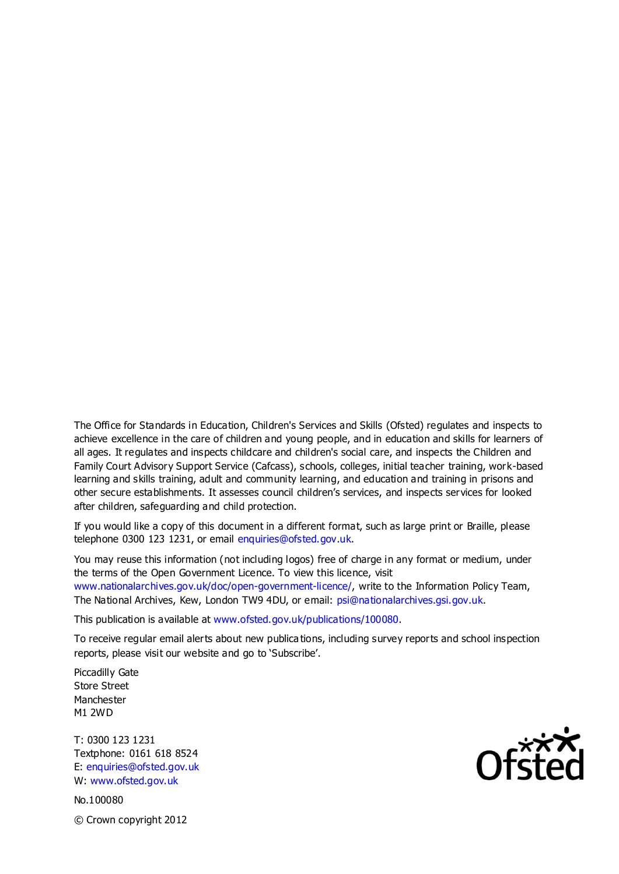The Office for Standards in Education, Children's Services and Skills (Ofsted) regulates and inspects to achieve excellence in the care of children and young people, and in education and skills for learners of all ages. It regulates and inspects childcare and children's social care, and inspects the Children and Family Court Advisory Support Service (Cafcass), schools, colleges, initial teacher training, work-based learning and skills training, adult and community learning, and education and training in prisons and other secure establishments. It assesses council children's services, and inspects services for looked after children, safeguarding and child protection.

If you would like a copy of this document in a different format, such as large print or Braille, please telephone 0300 123 1231, or email enquiries@ofsted.gov.uk.

You may reuse this information (not including logos) free of charge in any format or medium, under the terms of the Open Government Licence. To view this licence, visit www.nationalarchives.gov.uk/doc/open-government-licence/, write to the Information Policy Team, The National Archives, Kew, London TW9 4DU, or email: psi@nationalarchives.gsi.gov.uk.

This publication is available at www.ofsted.gov.uk/publications/100080.

To receive regular email alerts about new publica tions, including survey reports and school inspection reports, please visit our website and go to 'Subscribe'.

Piccadilly Gate Store Street Manchester M1 2WD

T: 0300 123 1231 Textphone: 0161 618 8524 E: enquiries@ofsted.gov.uk W: www.ofsted.gov.uk

No.100080 © Crown copyright 2012

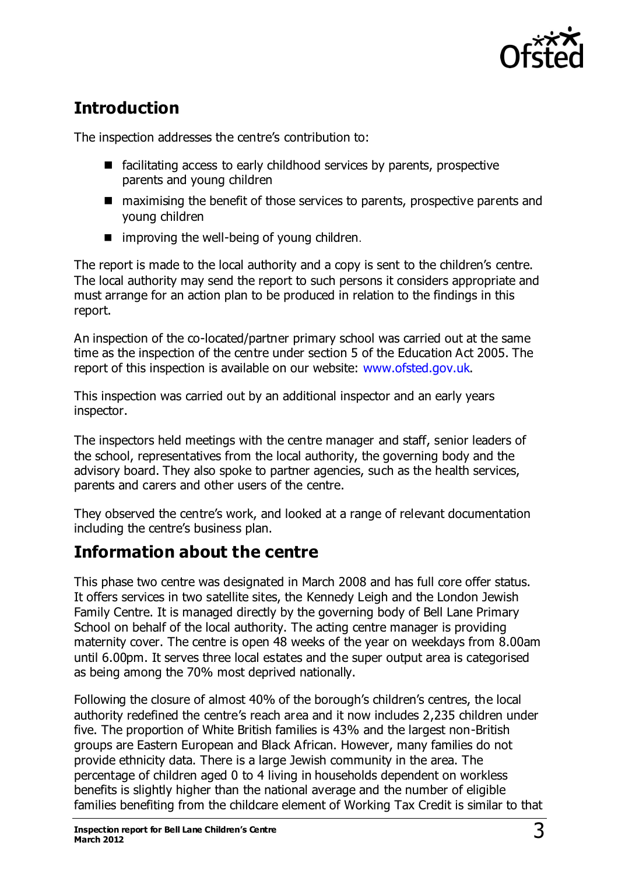

# **Introduction**

The inspection addresses the centre's contribution to:

- $\blacksquare$  facilitating access to early childhood services by parents, prospective parents and young children
- maximising the benefit of those services to parents, prospective parents and young children
- $\blacksquare$  improving the well-being of young children.

The report is made to the local authority and a copy is sent to the children's centre. The local authority may send the report to such persons it considers appropriate and must arrange for an action plan to be produced in relation to the findings in this report.

An inspection of the co-located/partner primary school was carried out at the same time as the inspection of the centre under section 5 of the Education Act 2005. The report of this inspection is available on our website: [www.ofsted.gov.uk.](http://www.ofsted.gov.uk/)

This inspection was carried out by an additional inspector and an early years inspector.

The inspectors held meetings with the centre manager and staff, senior leaders of the school, representatives from the local authority, the governing body and the advisory board. They also spoke to partner agencies, such as the health services, parents and carers and other users of the centre.

They observed the centre's work, and looked at a range of relevant documentation including the centre's business plan.

## **Information about the centre**

This phase two centre was designated in March 2008 and has full core offer status. It offers services in two satellite sites, the Kennedy Leigh and the London Jewish Family Centre. It is managed directly by the governing body of Bell Lane Primary School on behalf of the local authority. The acting centre manager is providing maternity cover. The centre is open 48 weeks of the year on weekdays from 8.00am until 6.00pm. It serves three local estates and the super output area is categorised as being among the 70% most deprived nationally.

Following the closure of almost 40% of the borough's children's centres, the local authority redefined the centre's reach area and it now includes 2,235 children under five. The proportion of White British families is 43% and the largest non-British groups are Eastern European and Black African. However, many families do not provide ethnicity data. There is a large Jewish community in the area. The percentage of children aged 0 to 4 living in households dependent on workless benefits is slightly higher than the national average and the number of eligible families benefiting from the childcare element of Working Tax Credit is similar to that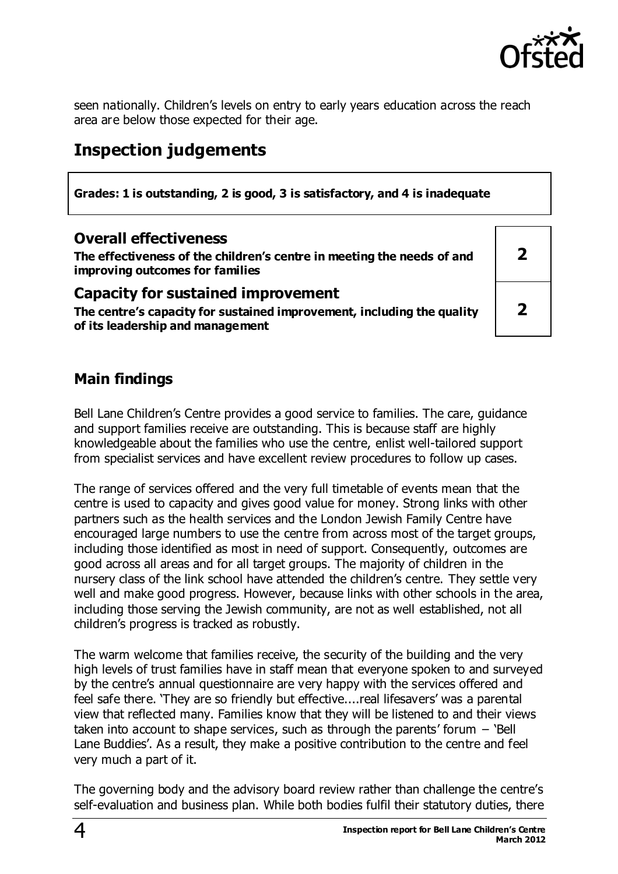

seen nationally. Children's levels on entry to early years education across the reach area are below those expected for their age.

# **Inspection judgements**

**Grades: 1 is outstanding, 2 is good, 3 is satisfactory, and 4 is inadequate**

#### **Overall effectiveness**

**The effectiveness of the children's centre in meeting the needs of and improving outcomes for families**

#### **Capacity for sustained improvement**

**The centre's capacity for sustained improvement, including the quality of its leadership and management**

**2**

**2**

## **Main findings**

Bell Lane Children's Centre provides a good service to families. The care, guidance and support families receive are outstanding. This is because staff are highly knowledgeable about the families who use the centre, enlist well-tailored support from specialist services and have excellent review procedures to follow up cases.

The range of services offered and the very full timetable of events mean that the centre is used to capacity and gives good value for money. Strong links with other partners such as the health services and the London Jewish Family Centre have encouraged large numbers to use the centre from across most of the target groups, including those identified as most in need of support. Consequently, outcomes are good across all areas and for all target groups. The majority of children in the nursery class of the link school have attended the children's centre. They settle very well and make good progress. However, because links with other schools in the area, including those serving the Jewish community, are not as well established, not all children's progress is tracked as robustly.

The warm welcome that families receive, the security of the building and the very high levels of trust families have in staff mean that everyone spoken to and surveyed by the centre's annual questionnaire are very happy with the services offered and feel safe there. 'They are so friendly but effective....real lifesavers' was a parental view that reflected many. Families know that they will be listened to and their views taken into account to shape services, such as through the parents' forum − 'Bell Lane Buddies'. As a result, they make a positive contribution to the centre and feel very much a part of it.

The governing body and the advisory board review rather than challenge the centre's self-evaluation and business plan. While both bodies fulfil their statutory duties, there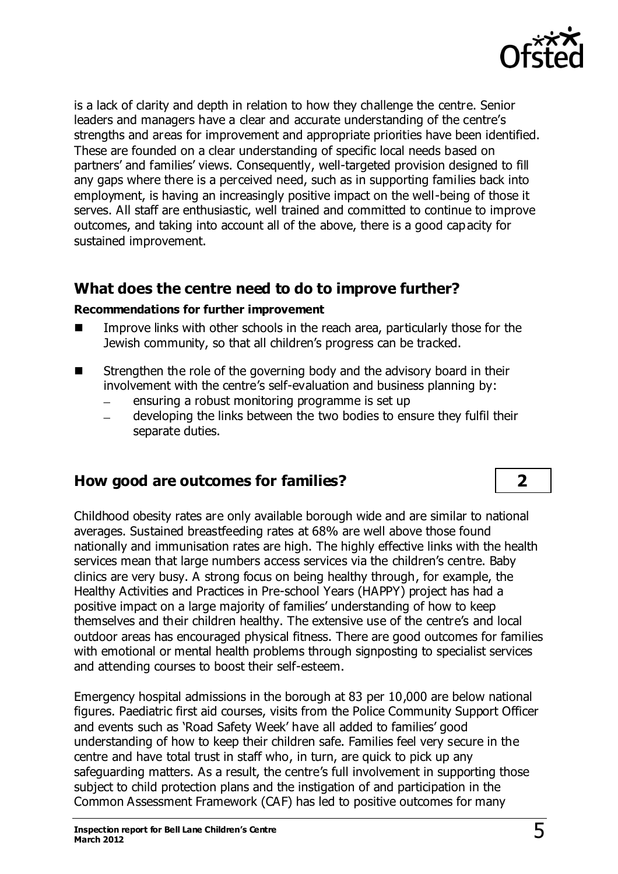

is a lack of clarity and depth in relation to how they challenge the centre. Senior leaders and managers have a clear and accurate understanding of the centre's strengths and areas for improvement and appropriate priorities have been identified. These are founded on a clear understanding of specific local needs based on partners' and families' views. Consequently, well-targeted provision designed to fill any gaps where there is a perceived need, such as in supporting families back into employment, is having an increasingly positive impact on the well-being of those it serves. All staff are enthusiastic, well trained and committed to continue to improve outcomes, and taking into account all of the above, there is a good capacity for sustained improvement.

## **What does the centre need to do to improve further?**

#### **Recommendations for further improvement**

- **IMPROVE LAKENS** with other schools in the reach area, particularly those for the Jewish community, so that all children's progress can be tracked.
- Strengthen the role of the governing body and the advisory board in their involvement with the centre's self-evaluation and business planning by:
	- ensuring a robust monitoring programme is set up  $\equiv$
	- developing the links between the two bodies to ensure they fulfil their separate duties.

## **How good are outcomes for families? 2**

Childhood obesity rates are only available borough wide and are similar to national averages. Sustained breastfeeding rates at 68% are well above those found nationally and immunisation rates are high. The highly effective links with the health services mean that large numbers access services via the children's centre. Baby clinics are very busy. A strong focus on being healthy through, for example, the Healthy Activities and Practices in Pre-school Years (HAPPY) project has had a positive impact on a large majority of families' understanding of how to keep themselves and their children healthy. The extensive use of the centre's and local outdoor areas has encouraged physical fitness. There are good outcomes for families with emotional or mental health problems through signposting to specialist services and attending courses to boost their self-esteem.

Emergency hospital admissions in the borough at 83 per 10,000 are below national figures. Paediatric first aid courses, visits from the Police Community Support Officer and events such as 'Road Safety Week' have all added to families' good understanding of how to keep their children safe. Families feel very secure in the centre and have total trust in staff who, in turn, are quick to pick up any safeguarding matters. As a result, the centre's full involvement in supporting those subject to child protection plans and the instigation of and participation in the Common Assessment Framework (CAF) has led to positive outcomes for many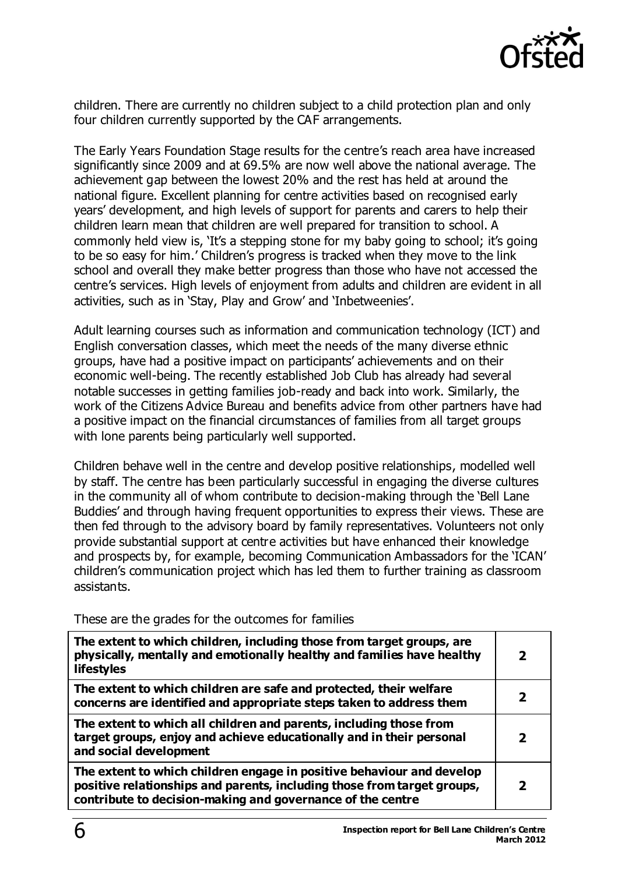

children. There are currently no children subject to a child protection plan and only four children currently supported by the CAF arrangements.

The Early Years Foundation Stage results for the centre's reach area have increased significantly since 2009 and at 69.5% are now well above the national average. The achievement gap between the lowest 20% and the rest has held at around the national figure. Excellent planning for centre activities based on recognised early years' development, and high levels of support for parents and carers to help their children learn mean that children are well prepared for transition to school. A commonly held view is, 'It's a stepping stone for my baby going to school; it's going to be so easy for him.' Children's progress is tracked when they move to the link school and overall they make better progress than those who have not accessed the centre's services. High levels of enjoyment from adults and children are evident in all activities, such as in 'Stay, Play and Grow' and 'Inbetweenies'.

Adult learning courses such as information and communication technology (ICT) and English conversation classes, which meet the needs of the many diverse ethnic groups, have had a positive impact on participants' achievements and on their economic well-being. The recently established Job Club has already had several notable successes in getting families job-ready and back into work. Similarly, the work of the Citizens Advice Bureau and benefits advice from other partners have had a positive impact on the financial circumstances of families from all target groups with lone parents being particularly well supported.

Children behave well in the centre and develop positive relationships, modelled well by staff. The centre has been particularly successful in engaging the diverse cultures in the community all of whom contribute to decision-making through the 'Bell Lane Buddies' and through having frequent opportunities to express their views. These are then fed through to the advisory board by family representatives. Volunteers not only provide substantial support at centre activities but have enhanced their knowledge and prospects by, for example, becoming Communication Ambassadors for the 'ICAN' children's communication project which has led them to further training as classroom assistants.

These are the grades for the outcomes for families

| The extent to which children, including those from target groups, are<br>physically, mentally and emotionally healthy and families have healthy<br><b>lifestyles</b>                                           | כ |
|----------------------------------------------------------------------------------------------------------------------------------------------------------------------------------------------------------------|---|
| The extent to which children are safe and protected, their welfare<br>concerns are identified and appropriate steps taken to address them                                                                      |   |
| The extent to which all children and parents, including those from<br>target groups, enjoy and achieve educationally and in their personal<br>and social development                                           |   |
| The extent to which children engage in positive behaviour and develop<br>positive relationships and parents, including those from target groups,<br>contribute to decision-making and governance of the centre |   |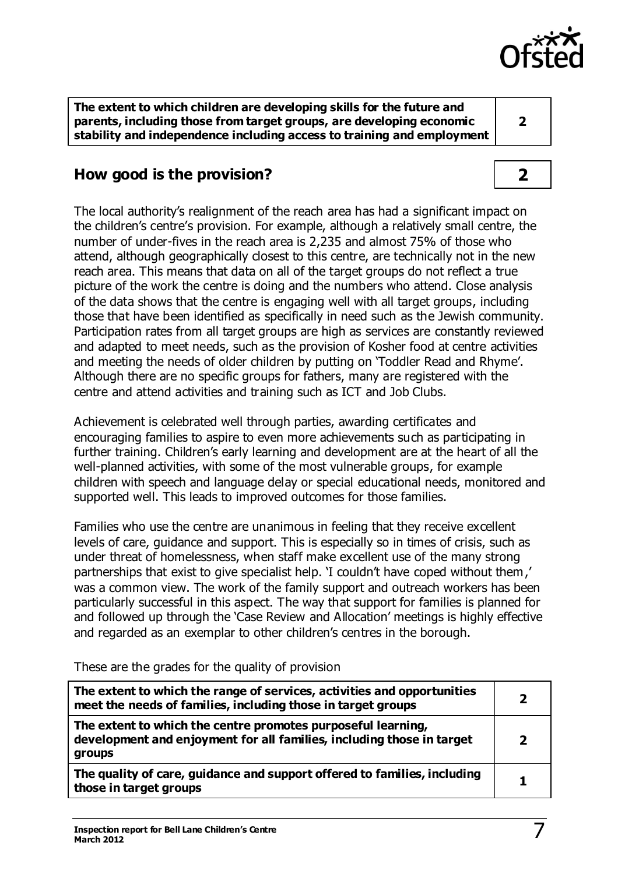

**The extent to which children are developing skills for the future and parents, including those from target groups, are developing economic stability and independence including access to training and employment** 

**2**

# **How good is the provision? 2**

The local authority's realignment of the reach area has had a significant impact on the children's centre's provision. For example, although a relatively small centre, the number of under-fives in the reach area is 2,235 and almost 75% of those who attend, although geographically closest to this centre, are technically not in the new reach area. This means that data on all of the target groups do not reflect a true picture of the work the centre is doing and the numbers who attend. Close analysis of the data shows that the centre is engaging well with all target groups, including those that have been identified as specifically in need such as the Jewish community. Participation rates from all target groups are high as services are constantly reviewed and adapted to meet needs, such as the provision of Kosher food at centre activities and meeting the needs of older children by putting on 'Toddler Read and Rhyme'. Although there are no specific groups for fathers, many are registered with the centre and attend activities and training such as ICT and Job Clubs.

Achievement is celebrated well through parties, awarding certificates and encouraging families to aspire to even more achievements such as participating in further training. Children's early learning and development are at the heart of all the well-planned activities, with some of the most vulnerable groups, for example children with speech and language delay or special educational needs, monitored and supported well. This leads to improved outcomes for those families.

Families who use the centre are unanimous in feeling that they receive excellent levels of care, guidance and support. This is especially so in times of crisis, such as under threat of homelessness, when staff make excellent use of the many strong partnerships that exist to give specialist help. 'I couldn't have coped without them,' was a common view. The work of the family support and outreach workers has been particularly successful in this aspect. The way that support for families is planned for and followed up through the 'Case Review and Allocation' meetings is highly effective and regarded as an exemplar to other children's centres in the borough.

These are the grades for the quality of provision

| The extent to which the range of services, activities and opportunities<br>meet the needs of families, including those in target groups         | 2 |
|-------------------------------------------------------------------------------------------------------------------------------------------------|---|
| The extent to which the centre promotes purposeful learning,<br>development and enjoyment for all families, including those in target<br>groups | 2 |
| The quality of care, guidance and support offered to families, including<br>those in target groups                                              |   |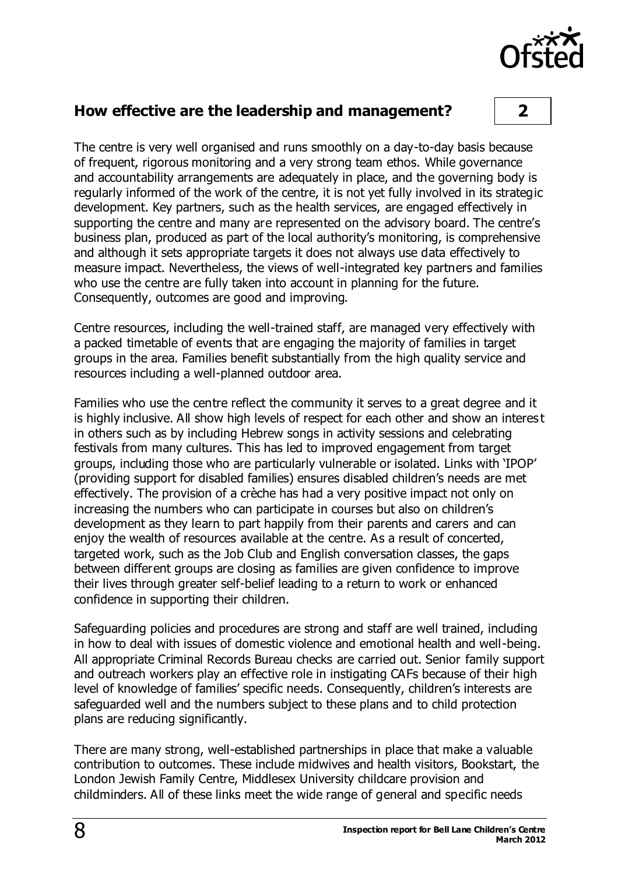

#### **How effective are the leadership and management? 2**

The centre is very well organised and runs smoothly on a day-to-day basis because of frequent, rigorous monitoring and a very strong team ethos. While governance and accountability arrangements are adequately in place, and the governing body is regularly informed of the work of the centre, it is not yet fully involved in its strategic development. Key partners, such as the health services, are engaged effectively in supporting the centre and many are represented on the advisory board. The centre's business plan, produced as part of the local authority's monitoring, is comprehensive and although it sets appropriate targets it does not always use data effectively to measure impact. Nevertheless, the views of well-integrated key partners and families who use the centre are fully taken into account in planning for the future. Consequently, outcomes are good and improving.

Centre resources, including the well-trained staff, are managed very effectively with a packed timetable of events that are engaging the majority of families in target groups in the area. Families benefit substantially from the high quality service and resources including a well-planned outdoor area.

Families who use the centre reflect the community it serves to a great degree and it is highly inclusive. All show high levels of respect for each other and show an interes t in others such as by including Hebrew songs in activity sessions and celebrating festivals from many cultures. This has led to improved engagement from target groups, including those who are particularly vulnerable or isolated. Links with 'IPOP' (providing support for disabled families) ensures disabled children's needs are met effectively. The provision of a crèche has had a very positive impact not only on increasing the numbers who can participate in courses but also on children's development as they learn to part happily from their parents and carers and can enjoy the wealth of resources available at the centre. As a result of concerted, targeted work, such as the Job Club and English conversation classes, the gaps between different groups are closing as families are given confidence to improve their lives through greater self-belief leading to a return to work or enhanced confidence in supporting their children.

Safeguarding policies and procedures are strong and staff are well trained, including in how to deal with issues of domestic violence and emotional health and well-being. All appropriate Criminal Records Bureau checks are carried out. Senior family support and outreach workers play an effective role in instigating CAFs because of their high level of knowledge of families' specific needs. Consequently, children's interests are safeguarded well and the numbers subject to these plans and to child protection plans are reducing significantly.

There are many strong, well-established partnerships in place that make a valuable contribution to outcomes. These include midwives and health visitors, Bookstart, the London Jewish Family Centre, Middlesex University childcare provision and childminders. All of these links meet the wide range of general and specific needs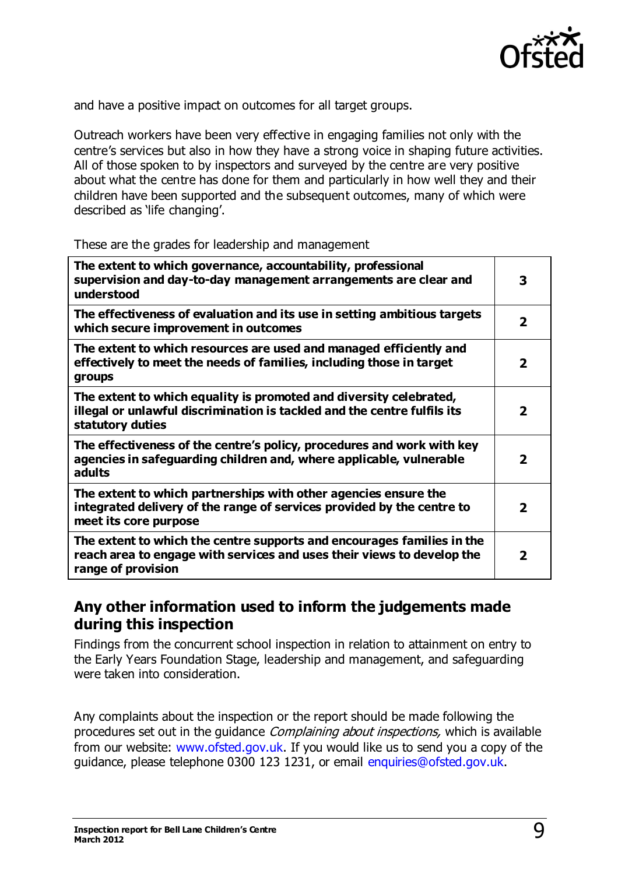

and have a positive impact on outcomes for all target groups.

Outreach workers have been very effective in engaging families not only with the centre's services but also in how they have a strong voice in shaping future activities. All of those spoken to by inspectors and surveyed by the centre are very positive about what the centre has done for them and particularly in how well they and their children have been supported and the subsequent outcomes, many of which were described as 'life changing'.

These are the grades for leadership and management

| The extent to which governance, accountability, professional<br>supervision and day-to-day management arrangements are clear and<br>understood                         | 3 |
|------------------------------------------------------------------------------------------------------------------------------------------------------------------------|---|
| The effectiveness of evaluation and its use in setting ambitious targets<br>which secure improvement in outcomes                                                       | 2 |
| The extent to which resources are used and managed efficiently and<br>effectively to meet the needs of families, including those in target<br>groups                   | 2 |
| The extent to which equality is promoted and diversity celebrated,<br>illegal or unlawful discrimination is tackled and the centre fulfils its<br>statutory duties     | 2 |
| The effectiveness of the centre's policy, procedures and work with key<br>agencies in safeguarding children and, where applicable, vulnerable<br>adults                | 2 |
| The extent to which partnerships with other agencies ensure the<br>integrated delivery of the range of services provided by the centre to<br>meet its core purpose     | 2 |
| The extent to which the centre supports and encourages families in the<br>reach area to engage with services and uses their views to develop the<br>range of provision | 2 |

## **Any other information used to inform the judgements made during this inspection**

Findings from the concurrent school inspection in relation to attainment on entry to the Early Years Foundation Stage, leadership and management, and safeguarding were taken into consideration.

Any complaints about the inspection or the report should be made following the procedures set out in the quidance *Complaining about inspections*, which is available from our website: [www.ofsted.gov.uk.](http://www.ofsted.gov.uk/) If you would like us to send you a copy of the guidance, please telephone 0300 123 1231, or email [enquiries@ofsted.gov.uk](mailto:enquiries@ofsted.gov.uk).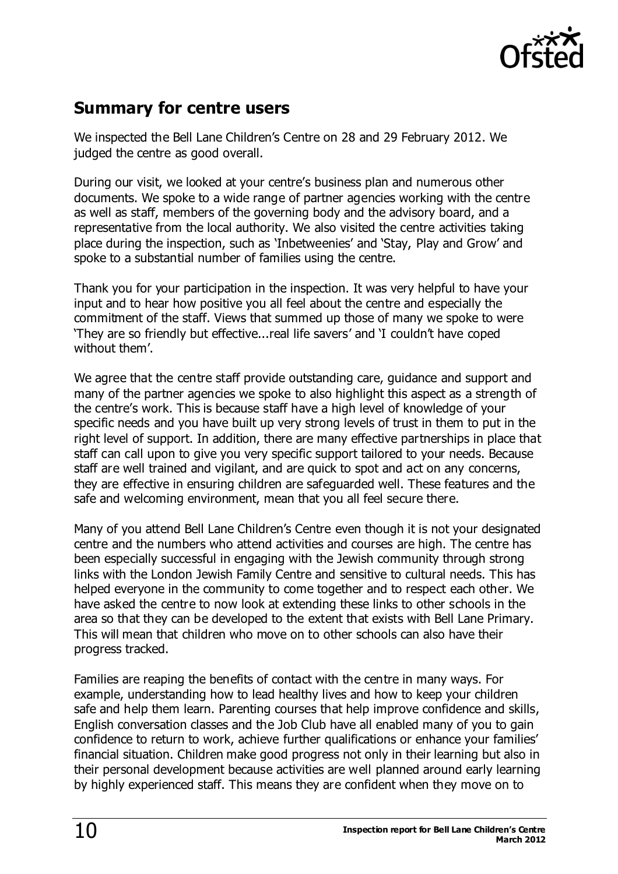

# **Summary for centre users**

We inspected the Bell Lane Children's Centre on 28 and 29 February 2012. We judged the centre as good overall.

During our visit, we looked at your centre's business plan and numerous other documents. We spoke to a wide range of partner agencies working with the centre as well as staff, members of the governing body and the advisory board, and a representative from the local authority. We also visited the centre activities taking place during the inspection, such as 'Inbetweenies' and 'Stay, Play and Grow' and spoke to a substantial number of families using the centre.

Thank you for your participation in the inspection. It was very helpful to have your input and to hear how positive you all feel about the centre and especially the commitment of the staff. Views that summed up those of many we spoke to were 'They are so friendly but effective...real life savers' and 'I couldn't have coped without them'.

We agree that the centre staff provide outstanding care, guidance and support and many of the partner agencies we spoke to also highlight this aspect as a strength of the centre's work. This is because staff have a high level of knowledge of your specific needs and you have built up very strong levels of trust in them to put in the right level of support. In addition, there are many effective partnerships in place that staff can call upon to give you very specific support tailored to your needs. Because staff are well trained and vigilant, and are quick to spot and act on any concerns, they are effective in ensuring children are safeguarded well. These features and the safe and welcoming environment, mean that you all feel secure there.

Many of you attend Bell Lane Children's Centre even though it is not your designated centre and the numbers who attend activities and courses are high. The centre has been especially successful in engaging with the Jewish community through strong links with the London Jewish Family Centre and sensitive to cultural needs. This has helped everyone in the community to come together and to respect each other. We have asked the centre to now look at extending these links to other schools in the area so that they can be developed to the extent that exists with Bell Lane Primary. This will mean that children who move on to other schools can also have their progress tracked.

Families are reaping the benefits of contact with the centre in many ways. For example, understanding how to lead healthy lives and how to keep your children safe and help them learn. Parenting courses that help improve confidence and skills, English conversation classes and the Job Club have all enabled many of you to gain confidence to return to work, achieve further qualifications or enhance your families' financial situation. Children make good progress not only in their learning but also in their personal development because activities are well planned around early learning by highly experienced staff. This means they are confident when they move on to